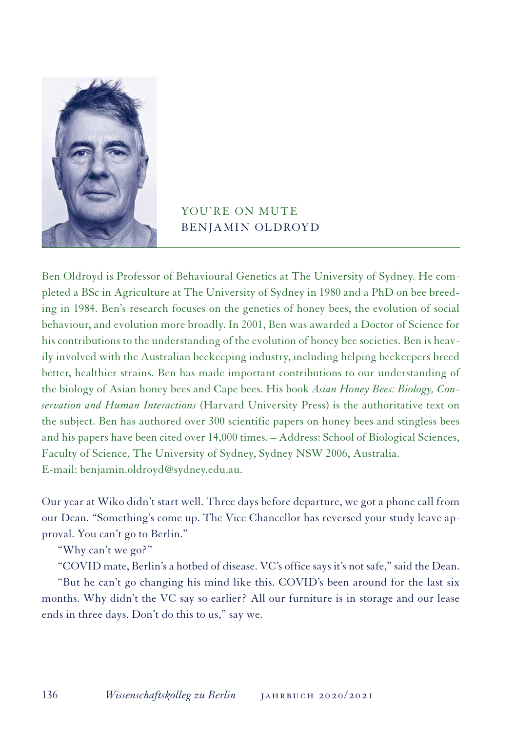

## YOU'RE ON MUTE BENJAMIN OLDROYD

Ben Oldroyd is Professor of Behavioural Genetics at The University of Sydney. He completed a BSc in Agriculture at The University of Sydney in 1980 and a PhD on bee breeding in 1984. Ben's research focuses on the genetics of honey bees, the evolution of social behaviour, and evolution more broadly. In 2001, Ben was awarded a Doctor of Science for his contributions to the understanding of the evolution of honey bee societies. Ben is heavily involved with the Australian beekeeping industry, including helping beekeepers breed better, healthier strains. Ben has made important contributions to our understanding of the biology of Asian honey bees and Cape bees. His book *Asian Honey Bees: Biology, Conservation and Human Interactions* (Harvard University Press) is the authoritative text on the subject. Ben has authored over 300 scientific papers on honey bees and stingless bees and his papers have been cited over 14,000 times. – Address: School of Biological Sciences, Faculty of Science, The University of Sydney, Sydney NSW 2006, Australia. E-mail: benjamin.oldroyd@sydney.edu.au.

Our year at Wiko didn't start well. Three days before departure, we got a phone call from our Dean. "Something's come up. The Vice Chancellor has reversed your study leave approval. You can't go to Berlin."

"Why can't we go?"

"COVID mate, Berlin's a hotbed of disease. VC's office says it's not safe," said the Dean.

"But he can't go changing his mind like this. COVID's been around for the last six months. Why didn't the VC say so earlier? All our furniture is in storage and our lease ends in three days. Don't do this to us," say we.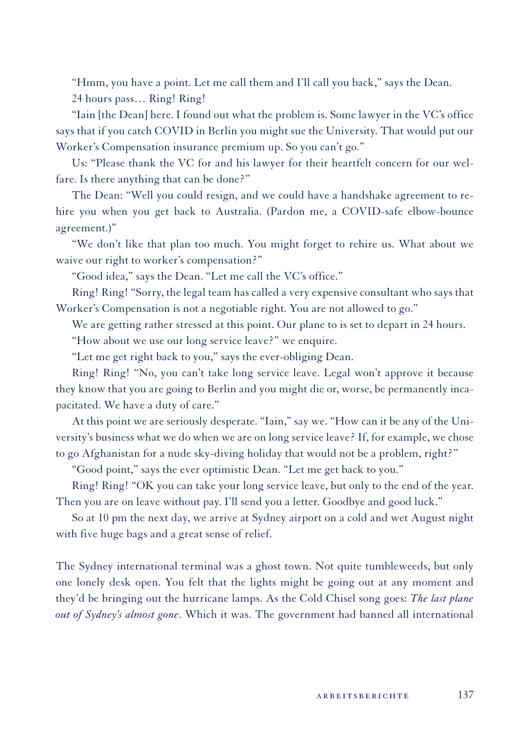"Hmm, you have a point. Let me call them and I'll call you back," says the Dean.

24 hours pass… Ring! Ring!

"Iain [the Dean] here. I found out what the problem is. Some lawyer in the VC's office says that if you catch COVID in Berlin you might sue the University. That would put our Worker's Compensation insurance premium up. So you can't go."

Us: "Please thank the VC for and his lawyer for their heartfelt concern for our welfare. Is there anything that can be done?"

The Dean: "Well you could resign, and we could have a handshake agreement to rehire you when you get back to Australia. (Pardon me, a COVID-safe elbow-bounce agreement.)"

"We don't like that plan too much. You might forget to rehire us. What about we waive our right to worker's compensation?"

"Good idea," says the Dean. "Let me call the VC's office."

Ring! Ring! "Sorry, the legal team has called a very expensive consultant who says that Worker's Compensation is not a negotiable right. You are not allowed to go."

We are getting rather stressed at this point. Our plane to is set to depart in 24 hours.

"How about we use our long service leave?" we enquire.

"Let me get right back to you," says the ever-obliging Dean.

Ring! Ring! "No, you can't take long service leave. Legal won't approve it because they know that you are going to Berlin and you might die or, worse, be permanently incapacitated. We have a duty of care."

At this point we are seriously desperate. "Iain," say we. "How can it be any of the University's business what we do when we are on long service leave? If, for example, we chose to go Afghanistan for a nude sky-diving holiday that would not be a problem, right?"

"Good point," says the ever optimistic Dean. "Let me get back to you."

Ring! Ring! "OK you can take your long service leave, but only to the end of the year. Then you are on leave without pay. I'll send you a letter. Goodbye and good luck."

So at 10 pm the next day, we arrive at Sydney airport on a cold and wet August night with five huge bags and a great sense of relief.

The Sydney international terminal was a ghost town. Not quite tumbleweeds, but only one lonely desk open. You felt that the lights might be going out at any moment and they'd be bringing out the hurricane lamps. As the Cold Chisel song goes: *The last plane out of Sydney's almost gone*. Which it was. The government had banned all international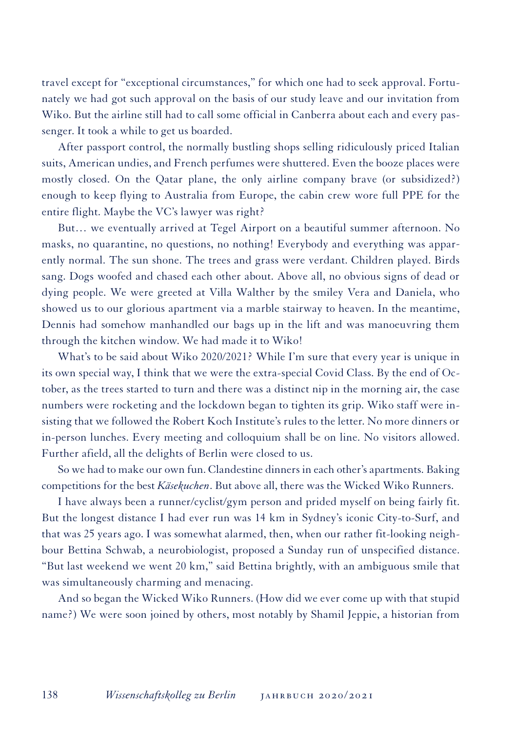travel except for "exceptional circumstances," for which one had to seek approval. Fortunately we had got such approval on the basis of our study leave and our invitation from Wiko. But the airline still had to call some official in Canberra about each and every passenger. It took a while to get us boarded.

After passport control, the normally bustling shops selling ridiculously priced Italian suits, American undies, and French perfumes were shuttered. Even the booze places were mostly closed. On the Qatar plane, the only airline company brave (or subsidized?) enough to keep flying to Australia from Europe, the cabin crew wore full PPE for the entire flight. Maybe the VC's lawyer was right?

But… we eventually arrived at Tegel Airport on a beautiful summer afternoon. No masks, no quarantine, no questions, no nothing! Everybody and everything was apparently normal. The sun shone. The trees and grass were verdant. Children played. Birds sang. Dogs woofed and chased each other about. Above all, no obvious signs of dead or dying people. We were greeted at Villa Walther by the smiley Vera and Daniela, who showed us to our glorious apartment via a marble stairway to heaven. In the meantime, Dennis had somehow manhandled our bags up in the lift and was manoeuvring them through the kitchen window. We had made it to Wiko!

What's to be said about Wiko 2020/2021? While I'm sure that every year is unique in its own special way, I think that we were the extra-special Covid Class. By the end of October, as the trees started to turn and there was a distinct nip in the morning air, the case numbers were rocketing and the lockdown began to tighten its grip. Wiko staff were insisting that we followed the Robert Koch Institute's rules to the letter. No more dinners or in-person lunches. Every meeting and colloquium shall be on line. No visitors allowed. Further afield, all the delights of Berlin were closed to us.

So we had to make our own fun. Clandestine dinners in each other's apartments. Baking competitions for the best *Käsekuchen*. But above all, there was the Wicked Wiko Runners.

I have always been a runner/cyclist/gym person and prided myself on being fairly fit. But the longest distance I had ever run was 14 km in Sydney's iconic City-to-Surf, and that was 25 years ago. I was somewhat alarmed, then, when our rather fit-looking neighbour Bettina Schwab, a neurobiologist, proposed a Sunday run of unspecified distance. "But last weekend we went 20 km," said Bettina brightly, with an ambiguous smile that was simultaneously charming and menacing.

And so began the Wicked Wiko Runners. (How did we ever come up with that stupid name?) We were soon joined by others, most notably by Shamil Jeppie, a historian from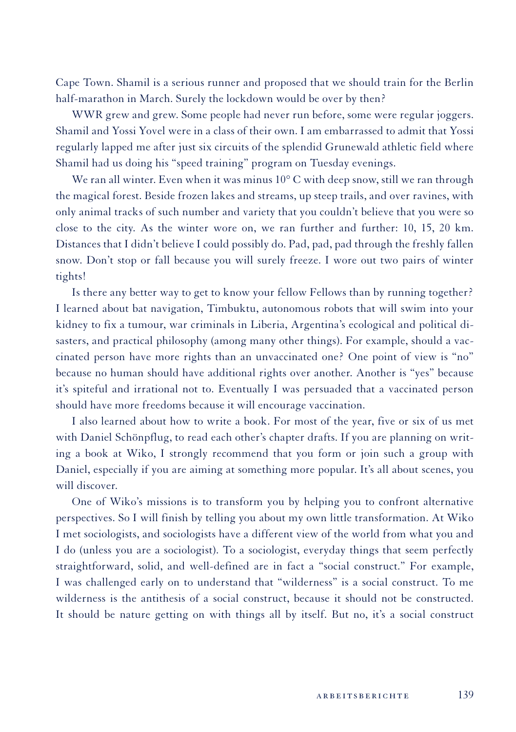Cape Town. Shamil is a serious runner and proposed that we should train for the Berlin half-marathon in March. Surely the lockdown would be over by then?

WWR grew and grew. Some people had never run before, some were regular joggers. Shamil and Yossi Yovel were in a class of their own. I am embarrassed to admit that Yossi regularly lapped me after just six circuits of the splendid Grunewald athletic field where Shamil had us doing his "speed training" program on Tuesday evenings.

We ran all winter. Even when it was minus  $10^{\circ}$  C with deep snow, still we ran through the magical forest. Beside frozen lakes and streams, up steep trails, and over ravines, with only animal tracks of such number and variety that you couldn't believe that you were so close to the city. As the winter wore on, we ran further and further: 10, 15, 20 km. Distances that I didn't believe I could possibly do. Pad, pad, pad through the freshly fallen snow. Don't stop or fall because you will surely freeze. I wore out two pairs of winter tights!

Is there any better way to get to know your fellow Fellows than by running together? I learned about bat navigation, Timbuktu, autonomous robots that will swim into your kidney to fix a tumour, war criminals in Liberia, Argentina's ecological and political disasters, and practical philosophy (among many other things). For example, should a vaccinated person have more rights than an unvaccinated one? One point of view is "no" because no human should have additional rights over another. Another is "yes" because it's spiteful and irrational not to. Eventually I was persuaded that a vaccinated person should have more freedoms because it will encourage vaccination.

I also learned about how to write a book. For most of the year, five or six of us met with Daniel Schönpflug, to read each other's chapter drafts. If you are planning on writing a book at Wiko, I strongly recommend that you form or join such a group with Daniel, especially if you are aiming at something more popular. It's all about scenes, you will discover.

One of Wiko's missions is to transform you by helping you to confront alternative perspectives. So I will finish by telling you about my own little transformation. At Wiko I met sociologists, and sociologists have a different view of the world from what you and I do (unless you are a sociologist). To a sociologist, everyday things that seem perfectly straightforward, solid, and well-defined are in fact a "social construct." For example, I was challenged early on to understand that "wilderness" is a social construct. To me wilderness is the antithesis of a social construct, because it should not be constructed. It should be nature getting on with things all by itself. But no, it's a social construct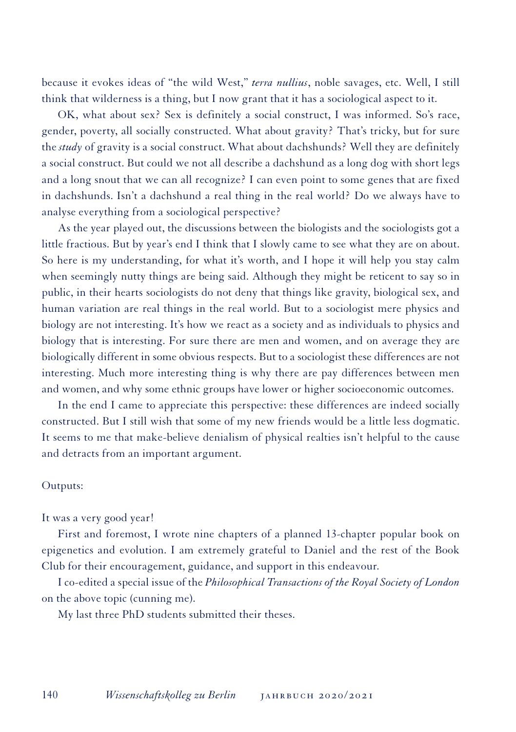because it evokes ideas of "the wild West," *terra nullius*, noble savages, etc. Well, I still think that wilderness is a thing, but I now grant that it has a sociological aspect to it.

OK, what about sex? Sex is definitely a social construct, I was informed. So's race, gender, poverty, all socially constructed. What about gravity? That's tricky, but for sure the *study* of gravity is a social construct. What about dachshunds? Well they are definitely a social construct. But could we not all describe a dachshund as a long dog with short legs and a long snout that we can all recognize? I can even point to some genes that are fixed in dachshunds. Isn't a dachshund a real thing in the real world? Do we always have to analyse everything from a sociological perspective?

As the year played out, the discussions between the biologists and the sociologists got a little fractious. But by year's end I think that I slowly came to see what they are on about. So here is my understanding, for what it's worth, and I hope it will help you stay calm when seemingly nutty things are being said. Although they might be reticent to say so in public, in their hearts sociologists do not deny that things like gravity, biological sex, and human variation are real things in the real world. But to a sociologist mere physics and biology are not interesting. It's how we react as a society and as individuals to physics and biology that is interesting. For sure there are men and women, and on average they are biologically different in some obvious respects. But to a sociologist these differences are not interesting. Much more interesting thing is why there are pay differences between men and women, and why some ethnic groups have lower or higher socioeconomic outcomes.

In the end I came to appreciate this perspective: these differences are indeed socially constructed. But I still wish that some of my new friends would be a little less dogmatic. It seems to me that make-believe denialism of physical realties isn't helpful to the cause and detracts from an important argument.

## Outputs:

It was a very good year!

First and foremost, I wrote nine chapters of a planned 13-chapter popular book on epigenetics and evolution. I am extremely grateful to Daniel and the rest of the Book Club for their encouragement, guidance, and support in this endeavour.

I co-edited a special issue of the *Philosophical Transactions of the Royal Society of London*  on the above topic (cunning me).

My last three PhD students submitted their theses.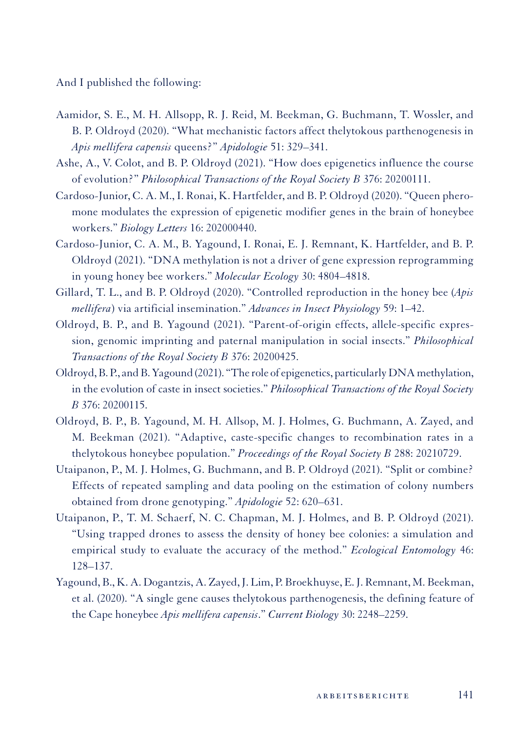And I published the following:

- Aamidor, S. E., M. H. Allsopp, R. J. Reid, M. Beekman, G. Buchmann, T. Wossler, and B. P. Oldroyd (2020). "What mechanistic factors affect thelytokous parthenogenesis in *Apis mellifera capensis* queens?" *Apidologie* 51: 329–341.
- Ashe, A., V. Colot, and B. P. Oldroyd (2021). "How does epigenetics influence the course of evolution?" *Philosophical Transactions of the Royal Society B* 376: 20200111.
- Cardoso-Junior, C. A. M., I. Ronai, K. Hartfelder, and B. P. Oldroyd (2020). "Queen pheromone modulates the expression of epigenetic modifier genes in the brain of honeybee workers." *Biology Letters* 16: 202000440.
- Cardoso-Junior, C. A. M., B. Yagound, I. Ronai, E. J. Remnant, K. Hartfelder, and B. P. Oldroyd (2021). "DNA methylation is not a driver of gene expression reprogramming in young honey bee workers." *Molecular Ecology* 30: 4804–4818.
- Gillard, T. L., and B. P. Oldroyd (2020). "Controlled reproduction in the honey bee (*Apis mellifera*) via artificial insemination." *Advances in Insect Physiology* 59: 1–42.
- Oldroyd, B. P., and B. Yagound (2021). "Parent-of-origin effects, allele-specific expression, genomic imprinting and paternal manipulation in social insects." *Philosophical Transactions of the Royal Society B* 376: 20200425.
- Oldroyd, B. P., and B. Yagound (2021). "The role of epigenetics, particularly DNA methylation, in the evolution of caste in insect societies." *Philosophical Transactions of the Royal Society B* 376: 20200115.
- Oldroyd, B. P., B. Yagound, M. H. Allsop, M. J. Holmes, G. Buchmann, A. Zayed, and M. Beekman (2021). "Adaptive, caste-specific changes to recombination rates in a thelytokous honeybee population." *Proceedings of the Royal Society B* 288: 20210729.
- Utaipanon, P., M. J. Holmes, G. Buchmann, and B. P. Oldroyd (2021). "Split or combine? Effects of repeated sampling and data pooling on the estimation of colony numbers obtained from drone genotyping." *Apidologie* 52: 620–631.
- Utaipanon, P., T. M. Schaerf, N. C. Chapman, M. J. Holmes, and B. P. Oldroyd (2021). "Using trapped drones to assess the density of honey bee colonies: a simulation and empirical study to evaluate the accuracy of the method." *Ecological Entomology* 46: 128–137.
- Yagound, B., K. A. Dogantzis, A. Zayed, J. Lim, P. Broekhuyse, E. J. Remnant, M. Beekman, et al. (2020). "A single gene causes thelytokous parthenogenesis, the defining feature of the Cape honeybee *Apis mellifera capensis*." *Current Biology* 30: 2248–2259.